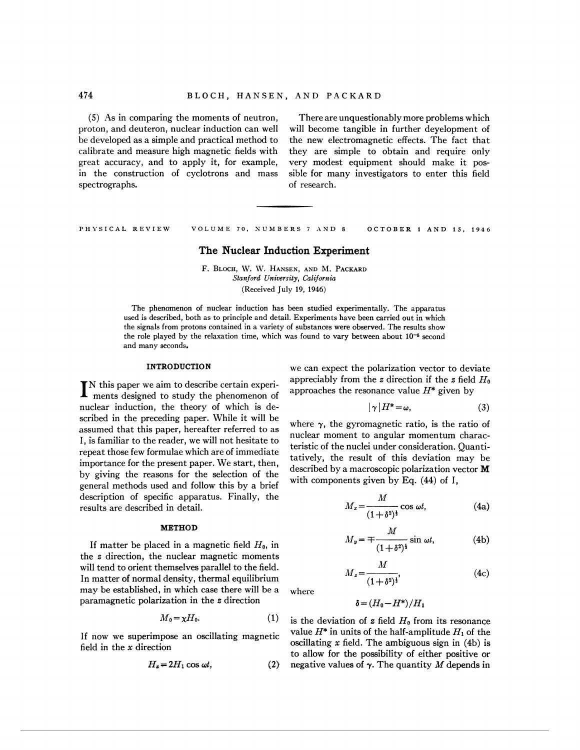proton, and deuteron, nuclear induction can well will become tangible in further deyelopment of calibrate and measure high magnetic fields with they are simple to obtain and require only great accuracy, and to apply it, for example, very modest equipment should make it posin the construction of cyclotrons and mass sible for many investigators to enter this field spectrographs.  $\qquad \qquad$  of research.

(5) As in comparing the moments of neutron, There are unquestionably more problems which be developed as a simple and practical method to the new electromagnetic effects. The fact that

PHYSICAL REVIEW VOLlJME **70.** SUMBERS 7 .IND 8 OCTOBER 1 AND **IS. 1946** 

# **The Nuclear Induction Experiment**

F. BLOCH, W. W. HANSEN, AND M. PACKARD *Stanford 0-niniversity, California*  (Received July 19, 1946)

The phenomenon of nuclear induction has been studied experimentally. The apparatus used is described, both as to principle and detail. Experiments have been carried out in which the signals from protons contained in a variety of substances were observed. The results show the role played by the relaxation time, which was found to vary between about **10-6** second and many seconds.

nuclear induction, the theory of which is described in the preceding paper. While it will be scribed in the preceding paper. While it will be<br>assumed that this paper, hereafter referred to as<br>I, is familiar to the reader, we will not hesitate to<br>I, is familiar to the reader, we will not hesitate to<br>repeat those f by giving the reasons for the selection of the unit of the with components given by Eq. (44) of I, general methods used and follow this by a brief description of specific apparatus. Finally, the results are described in detail.

If matter be placed in a magnetic field  $H_0$ , in the z direction, the nuclear magnetic moments will tend to orient themselves parallel to the field. general methods used and follow this by a brief<br>description of specific apparatus. Finally, the<br>results are described in detail.<br>**METHOD**<br>If matter be placed in a magnetic field  $H_0$ , in<br>the z direction, the nuclear magn may be established, in which case there will be a where paramagnetic polarization in the z direction

$$
M_0 = \chi H_0. \tag{1}
$$

field in the *x* direction oscillating *x* field. The ambiguous sign in (4b) is

$$
H_x = 2H_1 \cos \omega t, \qquad (2)
$$

**INTRODUCTION** we can expect the polarization vector to deviate IN this paper we aim to describe certain experi-<br>
ments designed to study the phenomenon of  $\frac{1}{2}$  approaches the resonance value  $H^*$  given by

$$
|\gamma|H^* = \omega,\tag{3}
$$

$$
M_x = \frac{M}{(1+\delta^2)^{\frac{1}{2}}} \cos \omega t, \tag{4a}
$$

**METHOD**  
ed in a magnetic field 
$$
H_0
$$
, in  $M_y = \mp \frac{M}{(1 + \delta^2)^{\frac{1}{2}}}$ sin  $\omega t$ , (4b)

$$
M_z = \frac{M}{(1 + \delta^2)^{\frac{1}{2}}},\tag{4c}
$$

$$
\delta = (H_0 - H^*)/H_1
$$

is the deviation of z field  $H_0$  from its resonance If now we superimpose an oscillating magnetic value  $H^*$  in units of the half-amplitude  $H_1$  of the to allow for the possibility of either positive or negative values of  $\gamma$ . The quantity M depends in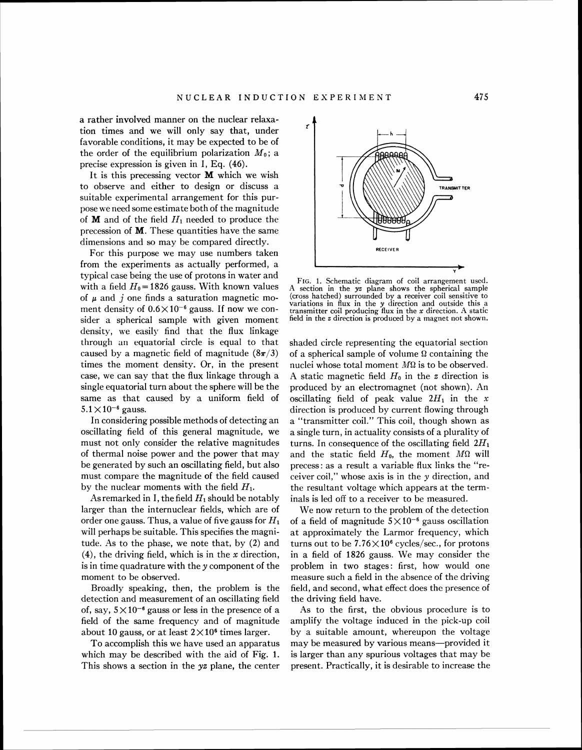a rather involved manner on the nuclear relaxation times and we will only say that, under favorable conditions, it may be expected to be of the order of the equilibrium polarization  $M_0$ ; a precise expression is given in I, Eq. (46).

It is this precessing vector  $M$  which we wish to observe and either to design or discuss a suitable experimental arrangement for this purpose we need some estimate both of the magnitude of **M** and of the field  $H_1$  needed to produce the precession of M. These quantities have the same dimensions and so may be compared directly.

For this purpose we may use numbers taken from the experiments as actually performed, a typical case being the use of protons in water and with a field  $H_0$  = 1826 gauss. With known values of **p** and *j* one finds a saturation magnetic moment density of  $0.6 \times 10^{-6}$  gauss. If now we consider a spherical sample with given moment density, we easily find that the flux linkage through an equatorial circle is equal to that caused by a magnetic field of magnitude  $(8\pi/3)$ times the moment density. Or, in the present case, we can say that the flux linkage through a single equatorial turn about the sphere will be the same as that caused by a uniform field of  $5.1 \times 10^{-6}$  gauss.

In considering possible methods of detecting an oscillating field of this general magnitude, we must not only consider the relative magnitudes of thermal noise power and the power that may be generated by such an oscillating field, but also must compare the magnitude of the field caused by the nuclear moments with the field *HI.* 

As remarked in I, the field  $H_1$  should be notably larger than the internuclear fields, which are of order one gauss. Thus, a value of five gauss for *HI*  will perhaps be suitable. This specifies the magnitude. As to the phase, we note that, by (2) and  $(4)$ , the driving field, which is in the x direction, is in time quadrature with they component of the moment to be observed.

Broadly speaking, then, the problem is the detection and measurement of an oscillating field of, say,  $5 \times 10^{-6}$  gauss or less in the presence of a field of the same frequency and of magnitude about 10 gauss, or at least  $2 \times 10^6$  times larger.

To accomplish this we have used an apparatus which may be described with the aid of Fig. 1. This shows a section in the yz plane, the center



FIG. 1. Schematic diagram of coil arrangement used. section in the yz plane shows the spherical sample (cross hatched) surrounded by a receiver coil sensitive to variations in flux in the y direction and outside this a transmitter coil producing flux in the  $x$  direction. A static field in the  $z$  direction is produced by a magnet not shown.

shaded circle representing the equatorial section of a spherical sample of volume *Q* containing the nuclei whose total moment  $M\Omega$  is to be observed. A static magnetic field  $H_0$  in the *z* direction is produced by an electromagnet (not shown). An oscillating field of peak value  $2H_1$  in the x direction is produced by current flowing through a "transmitter coil." This coil, though shown as a single turn, in actuality consists of a plurality of turns. In consequence of the oscillating field *2H1*  and the static field  $H_0$ , the moment  $M\Omega$  will precess: as a result a variable flux links the "receiver coil," whose axis is in the y direction, and the resultant voltage which appears at the terminals is led off to a receiver to be measured.

We now return to the problem of the detection of a field of magnitude  $5 \times 10^{-6}$  gauss oscillation at approximately the Larmor frequency, which turns out to be  $7.76\times10^6$  cycles/sec., for protons in a field of 1826 gauss. We may consider the problem in two stages: first, how would one measure such a field in the absence of the driving field, and second, what effect does the presence of the driving field have.

As to the first, the obvious procedure is to amplify the voltage induced in the pick-up coil by a suitable amount, whereupon the voltage may be measured by various means-provided it is larger than any spurious voltages that may be present. Practically, it is desirable to increase the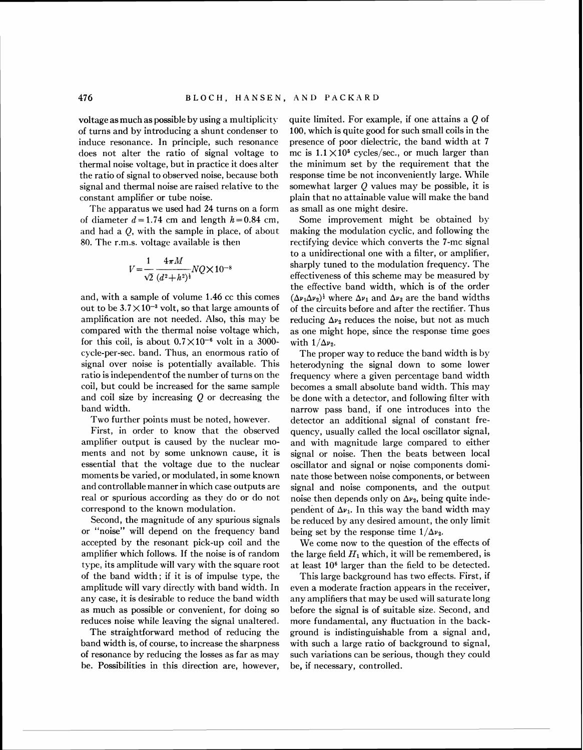voltage as much as possible by using a multiplicity of turns and by introducing a shunt condenser to induce resonance. In principle, such resonance does not alter the ratio of signal voltage to thermal noise voltage, but in practice it does alter the ratio of signal to observed noise, because both signal and thermal noise are raised relative to the constant amplifier or tube noise.

The apparatus we used had *24* turns on a form of diameter  $d = 1.74$  cm and length  $h = 0.84$  cm, and had a  $Q$ , with the sample in place, of about 80. The r.m.s. voltage available is then

$$
V = \frac{1}{\sqrt{2}} \frac{4\pi M}{(d^2 + h^2)^{\frac{1}{2}}} NQ \times 10^{-8}
$$

and, with a sample of volume **1.46** cc this comes out to be  $3.7 \times 10^{-3}$  volt, so that large amounts of amplification are not needed. Also, this may be compared with the thermal noise voltage which, for this coil, is about  $0.7 \times 10^{-6}$  volt in a 3000cycle-per-sec. band. Thus, an enormous ratio of signal over noise is potentially available. This ratio is independent of the number of turns on the coil, but could be increased for the same sample and coil size by increasing  $Q$  or decreasing the hand width.

Two further points must be noted, however.

First, in order to know that the observed amplifier output is caused by the nuclear moments and not by some unknown cause, it is essential that the voltage due to the nuclear moments be varied, or modulated, in some known and controllable manner in which case outputs are real or spurious according as they do or do not correspond to the known modulation.

Second, the magnitude of any spurious signals or "noise" will depend on the frequency band accepted by the resonant pick-up coil and the amplifier which follows. If the noise is of random type, its amplitude will vary with the square root of the band width; if it is of impulse type, the amplitude will vary directly with band width. In any case, it is desirable to reduce the band width as much as possible or convenient, for doing so reduces noise while leaving the signal unaltered.

The straightforward method of reducing the band width is, of course, to increase the sharpness of resonance by reducing the losses as far as may be. Possibilities in this direction are, however,

quite limited. For example, if one attains a Q of 100, which is quite good for such small coils in the presence of poor dielectric, the band width at 7 mc is  $1.1 \times 10^5$  cycles/sec., or much larger than the minimum set by the requirement that the response time be not inconveniently large. While somewhat larger  $Q$  values may be possible, it is plain that no attainable value will make the band as small as one might desire.

Some improvement might be obtained by making the modulation cyclic, and following the rectifying device which converts the 7-mc signal to a unidirectional one with a filter, or amplifier, sharply tuned to the modulation frequency. The effectiveness of this scheme may be measured by the effective band width, which is of the order  $(\Delta \nu_1 \Delta \nu_2)^{\frac{1}{2}}$  where  $\Delta \nu_1$  and  $\Delta \nu_2$  are the band widths of the circuits before and after the rectifier. Thus reducing  $\Delta v_2$  reduces the noise, but not as much as one might hope, since the response time goes with  $1/\Delta v_2$ .

The proper way to reduce the band width is by heterodyning the signal down to some lower frequency where a given percentage band width becomes a small absolute band width. This may be done with a detector, and following filter with narrow pass band, if one introduces into the detector an additional signal of constant frequency, usually called the local oscillator signal, and with magnitude large compared to either signal or noise. Then the beats between local oscillator and signal or noise components dominate those between noise components, or between signal and noise components, and the output noise then depends only on  $\Delta \nu_2$ , being quite independent of  $\Delta v_1$ . In this way the band width may be reduced by any desired amount, the only limit being set by the response time  $1/\Delta v_2$ .

We come now to the question of the effects of the large field  $H_1$  which, it will be remembered, is at least **lo6** larger than the field to be detected.

This large background has two effects. First, if even a moderate fraction appears in the receiver, any amplifiers that may be used will saturate long before the signal is of suitable size. Second, and more fundamental, any fluctuation in the background is indistinguishable from a signal and, with such a large ratio of background to signal, such variations can be serious, though they could be, if necessary, controlled.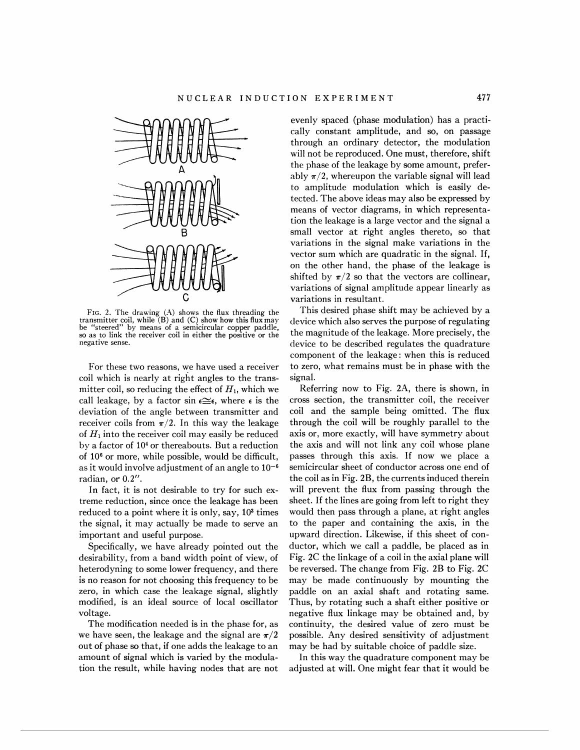

FIG. 2. The drawing (A) shows the flux threading the transmitter coil, while (B) and (C) show how this flux may be "steered" by means of *a* semicircular copper paddle, so as to link the receiver coil in either the positive or the negative sense.

For these two reasons, we have used a receiver coil which is nearly at right angles to the transmitter coil, so reducing the effect of  $H<sub>1</sub>$ , which we call leakage, by a factor sin  $\epsilon \cong \epsilon$ , where  $\epsilon$  is the deviation of the angle between transmitter and receiver coils from  $\pi/2$ . In this way the leakage of  $H_1$  into the receiver coil may easily be reduced by a factor of **lo4** or thereabouts. But a reduction of  $10<sup>6</sup>$  or more, while possible, would be difficult, as it would involve adjustment of an angle to  $10^{-6}$ radian, or 0.2".

In fact, it is not desirable to try for such extreme reduction, since once the leakage has been reduced to a point where it is only, say, **LO3** times the signal, it may actually be made to serve an important and useful purpose.

Specifically, we have already pointed out the desirability, from a band width point of view, of heterodyning to some lower frequency, and there is no reason for not choosing this frequency to be zero, in which case the leakage signal, slightly modified, is an ideal source of local oscillator voltage.

The modification needed is in the phase for, as we have seen, the leakage and the signal are  $\pi/2$ out of phase so that, if one adds the leakage to an amount of signal which is varied by the modulation the result, while having nodes that are not evenly spaced (phase modulation) has a practically constant amplitude, and so, on passage through an ordinary detector, the modulation will not be reproduced. One must, therefore, shift the phase of the leakage by some amount, preferably  $\pi/2$ , whereupon the variable signal will lead to amplitude modulation which is easily detected. The above ideas may also be expressed by means of vector diagrams, in which representation the leakage is a large vector and the signal a small vector at right angles thereto, so that variations in the signal make variations in the vector sum which are quadratic in the signal. If, on the other hand, the phase of the leakage is shifted by  $\pi/2$  so that the vectors are collinear, variations of signal amplitude appear linearly as variations in resultant.

This desired phase shift may be achieved by a device which also serves the purpose of regulating the magnitude of the leakage. More precisely, the device to be described regulates the quadrature component of the leakage: when this is reduced to zero, what remains must be in phase with the signal.

Referring now to Fig. 2A, there is shown, in cross section, the transmitter coil, the receiver coil and the sample being omitted. The flux through the coil will be roughly parallel to the axis or, more exactly, will have symmetry about the axis and will not link any coil whose plane passes through this axis. If now we place a semicircular sheet of conductor across one end of the coil as in Fig. 2B, the currents induced therein will prevent the flux from passing through the sheet. If the lines are going from left to right they would then pass through a plane, at right angles to the paper and containing the axis, in the upward direction. Likewise, if this sheet of conductor, which we call a paddle, be placed as in Fig. 2C the linkage of a coil in the axial plane will be reversed. The change from Fig. 2B to Fig. 2C may be made continuously by mounting the paddle on an axial shaft and rotating same. Thus, by rotating such a shaft either positive or negative flux linkage may be obtained and, by continuity, the desired value of zero must be possible. Any desired sensitivity of adjustment may be had by suitable choice of paddle size.

In this way the quadrature component may be adjusted at will. One might fear that it would be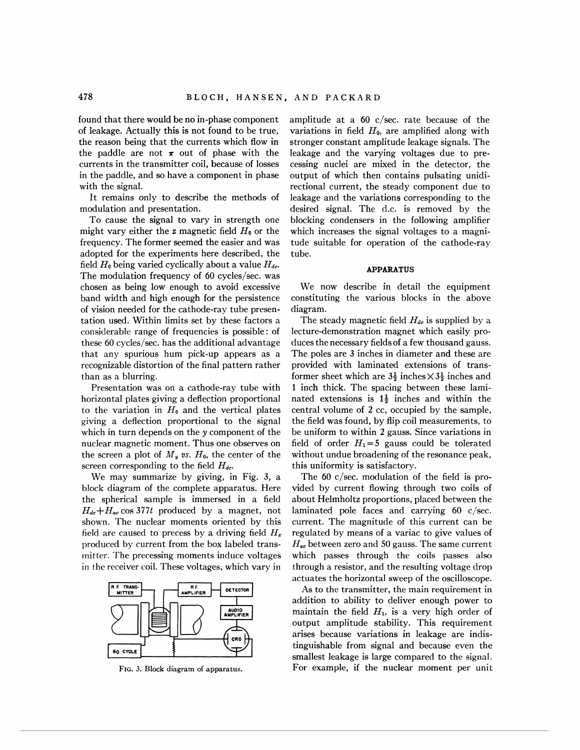found that there would be no in-phase component of leakage. Actually this is not found to be true, the reason being that the currents which flow in the paddle are not  $\pi$  out of phase with the currents in the transmitter coil, because of losses in the paddle, and so have a component in phase with the signal.

It remains only to describe the methods of modulation and presentation.

To cause the signal to vary in strength one might vary either the z magnetic field *Ho* or the frequency. The former seemed the easier and was adopted for the experiments here described, the field  $H_0$  being varied cyclically about a value  $H_{dc}$ . The modulation frequency of 60 cycles/sec. was chosen as being low enough to avoid excessive band width and high enough for the persistence of vision needed for the cathode-ray tube presentation used. Within limits set by these factors a considerable range of frequencies is possible: of these 60 cycles/sec. has the additional advantage that any spurious hum pick-up appears as a recognizable distortion of the final pattern rather than as a blurring.

Presentation was on a cathode-ray tube with horizontal plates giving a deflection proportional to the variation in  $H_0$  and the vertical plates giving a deflection proportional to the signal which in turn depends on the y component of the nuclear magnetic moment. Thus one observes on the screen a plot of  $M_y$  vs.  $H_0$ , the center of the screen corresponding to the field  $H_{dc}$ .

We may summarize by giving, in Fig. 3, a block diagram of the complete apparatus. Here the spherical sample is immersed in a field  $H_{dc} + H_{ac} \cos 377t$  produced by a magnet, not shown. The nuclear moments oriented by this field are caused to precess by a driving field  $H_x$ produced by current from the box labeled transmitter. The precessing moments induce voltages in the receiver coil. These voltages, which vary in



**FIG.** *3.* **Block** diagram of **apparatus.** 

amplitude at a 60 c/sec. rate because of the variations in field  $H_0$ , are amplified along with stronger constant amplitude leakage signals. The leakage and the varying voltages due to precessing nuclei are mixed in the detector, the output of which then contains pulsating unidirectional current, the steady component due to leakage and the variations corresponding to the desired signal. The d.c. is removed by the blocking condensers in the following amplifier which increases the signal voltages to a magnitude suitable for operation of the cathode-ray tube.

## **APPARATUS**

We now describe in detail the equipment constituting the various blocks in the above diagram.

The steady magnetic field  $H_{dc}$  is supplied by a lecture-demonstration magnet which easily produces the necessary fields of a few thousand gauss. The poles are 3 inches in diameter and these are provided with laminated extensions of transformer sheet which are  $3\frac{1}{2}$  inches  $\times3\frac{1}{2}$  inches and 1 inch thick. The spacing between these laminated extensions is  $1\frac{1}{2}$  inches and within the central volume of **2** cc, occupied by the sample, the field was found, by flip coil measurements, to be uniform to within **2** gauss. Since variations in field of order  $H_1=5$  gauss could be tolerated without undue broadening of the resonance peak, this uniformity is satisfactory.

The 60 c/sec. modulation of the field is provided by current flowing through two coils of about Helmholtz proportions, placed between the laminated pole faces and carrying 60 c/sec. current. The magnitude of this current can be regulated by means of a variac to give values of  $H_{ac}$  between zero and 50 gauss. The same current which passes through the coils passes also through a resistor, and the resulting voltage drop actuates the horizontal sweep of the oscilloscope.

As to the transmitter, the main requirement in addition to ability to deliver enough power to maintain the field  $H_1$ , is a very high order of output amplitude stability. This requirement arises because variations in leakage are indistinguishable from signal and because even the smallest leakage is large compared to the signal. For example, if the nuclear moment per unit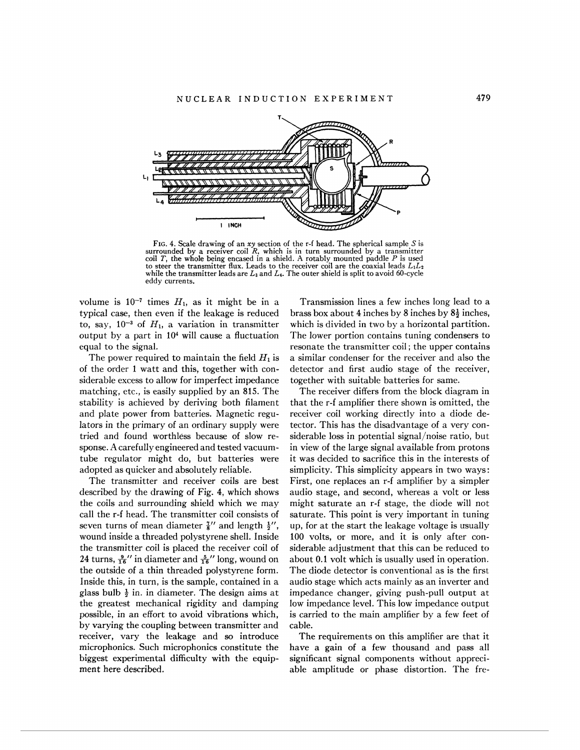

FIG. 4. Scale drawing of an xy section of the r-f head. The spherical sample *S* is surrounded by a receiver coil R, which is in turn surrounded by **a** transmitter coil T, the whole being encased in a shield. A rotably mounted paddle *P* is used to steer the transmitter flux. Leads to the receiver coil are the coaxial leads  $L_1L_2$  while the transmitter leads are  $L_3$  and  $L_4$ . The outer shield is split to avoid 60-cycle eddy currents.

volume is  $10^{-7}$  times  $H_1$ , as it might be in a typical case, then even if the leakage is reduced to, say,  $10^{-3}$  of  $H_1$ , a variation in transmitter output by a part in  $10<sup>4</sup>$  will cause a fluctuation equal to the signal.

The power required to maintain the field  $H_1$  is of the order 1 watt and this, together with considerable excess to allow for imperfect impedance matching, etc., is easily supplied by an 815. The stability is achieved by deriving both filament and plate power from batteries. Magnetic regulators in the primary of an ordinary supply were tried and found worthless because of slow response. A carefully engineered and tested vacuumtube regulator might do, but batteries were adopted as quicker and absolutely reliable.

The transmitter and receiver coils are best described by the drawing of Fig. 4, which shows the coils and surrounding shield which we may call the r-f head. The transmitter coil consists of seven turns of mean diameter  $\frac{7}{8}$  and length  $\frac{1}{2}$ , wound inside a threaded polystyrene shell. Inside the transmitter coil is placed the receiver coil of 24 turns,  $\frac{9}{16}$ " in diameter and  $\frac{5}{16}$ " long, wound on the outside of a thin threaded polystyrene form. Inside this, in turn, is the sample, contained in a glass bulb  $\frac{1}{2}$  in. in diameter. The design aims at the greatest mechanical rigidity and damping possible, in an effort to avoid vibrations which, by varying the coupling between transmitter and receiver, vary the leakage and so introduce microphonics. Such microphonics constitute the biggest experimental difficulty with the equipment here described.

Transmission lines a few inches long lead to a brass box about 4 inches by 8 inches by  $8\frac{1}{2}$  inches, which is divided in two by a horizontal partition. The lower portion contains tuning condensers to resonate the transmitter coil ; the upper contains a similar condenser for the receiver and also the detector and first audio stage of the receiver, together with suitable batteries for same.

The receiver differs from the block diagram in that the r-f amplifier there shown is omitted, the receiver coil working directly into a diode detector. This has the disadvantage of a very considerable loss in potential signal/noise ratio, but in view of the large signal available from protons it was decided to sacrifice this in the interests of simplicity. This simplicity appears in two ways: First, one replaces an r-f amplifier by a simpler audio stage, and second, whereas a volt or less might saturate an r-f stage, the diode will not saturate. This point is very important in tuning up, for at the start the leakage voltage is usually 100 volts, or more, and it is only after considerable adjustment that this can be reduced to about 0.1 volt which is usually used in operation. The diode detector is conventional as is the first audio stage which acts mainly as an inverter and impedance changer, giving push-pull output at low impedance level. This low impedance output is carried to the main amplifier by a few feet of cable.

The requirements on this amplifier are that it have a gain of a few thousand and pass all significant signal components without appreciable amplitude or phase distortion. The fre-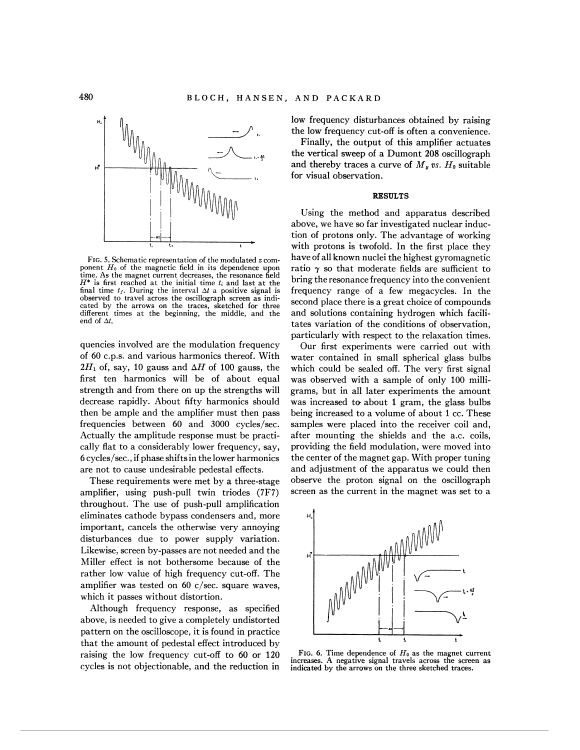

time. As the magnet current decreases, the resonance field  $H^*$  is first reached at the initial time  $t_i$  and last at the final time  $t_f$ . During the interval  $\Delta t$  a positive signal is observed to travel across the oscillograph screen as indicated by the arrows on the traces, sketched for three different times at the beginning, the middle, and the end of *At.* 

quencies involved are the modulation frequency of 60 c.p.s. and various harmonics thereof. With  $2H_1$  of, say, 10 gauss and  $\Delta H$  of 100 gauss, the first ten harmonics will be of about equal strength and from there on up the strengths will decrease rapidly. About fifty harmonics should then be ample and the amplifier must then pass frequencies between 60 and 3000 cycles/sec. Actually the amplitude response must be practically flat to a considerably lower frequency, say, 6 cycles/sec., if phase shiftsin the lower harmonics are not to cause undesirable pedestal effects.

These requirements were met by a three-stage amplifier, using push-pull twin triodes (7F7) throughout. The use of push-pull amplification eliminates cathode bypass condensers and, more important, cancels the otherwise very annoying disturbances due to power supply variation. Likewise, screen by-passes are not needed and the Miller effect is not bothersome because of the rather low value of high frequency cut-off. The amplifier was tested on 60 c/sec. square waves, which it passes without distortion.

Although frequency response, as specified above, is needed to give a completely undistorted pattern on the oscilloscope, it is found in practice that the amount of pedestal effect introduced by raising the low frequency cut-off to 60 or 120 cycles is not objectionable, and the reduction in low frequency disturbances obtained by raising the low frequency cut-off is often a convenience.

Finally, the output of this amplifier actuates the vertical sweep of a Dumont 208 oscillograph and thereby traces a curve of  $M_{\nu}$  vs.  $H_0$  suitable for visual observation.

## **RESULTS**

Using the method and apparatus described above, we have so far investigated nuclear induc- $\begin{array}{c} \text{1} \ \text{1} \ \text{2} \ \text{4} \ \text{3} \ \text{4} \ \text{4} \ \text{4} \ \text{5} \ \text{6} \ \text{6} \ \text{6} \ \text{6} \ \text{6} \ \text{7} \ \text{7} \ \text{8} \ \text{8} \ \text{7} \ \text{8} \ \text{8} \ \text{9} \ \text{1} \ \text{1} \ \text{1} \ \text{1} \ \text{1} \ \text{2} \ \text{1} \ \text{2} \ \text{1} \ \text{2} \ \text{1} \ \text{2} \ \text{1} \ \text{3$  $\begin{array}{c|c|c|c|c} \hline \end{array}$  **1. 1.** 1. If the method and apparatus described<br>above, we have so far investigated nuclear induc-<br>tion of protons only. The advantage of working<br>with protons is twofold. In the first place they FIG. 5. Schematic representation of the modulated z com-<br>ponent  $H_0$  of the magnetic field in its dependence upon ratio  $\gamma$  so that moderate fields are sufficient to ratio  $\gamma$  so that moderate fields are sufficient to *hting the resonance frequency into the convenient* frequency range of a few megacycles. In the second place there is a great choice of compounds and solutions containing hydrogen which facilitates variation of the conditions of observation, particularly with respect to the relaxation times.

> Our first experiments were carried out with water contained in small spherical glass bulbs which could be sealed off. The very first signal was observed with a sample of only 100 milligrams, but in all later experiments the amount was increased to about 1 gram, the glass bulbs being increased to a volume of about 1 cc. These samples were placed into the receiver coil and, after mounting the shields and the a.c. coils, providing the field modulation, were moved into the center of the magnet gap. With proper tuning and adjustment of the apparatus we could then observe the proton signal on the oscillograph screen as the current in the magnet was set to a



FIG. 6. Time dependence of  $H_0$  as the magnet current increases. A negative signal travels across the screen as indicated by the arrows on the three sketched traces.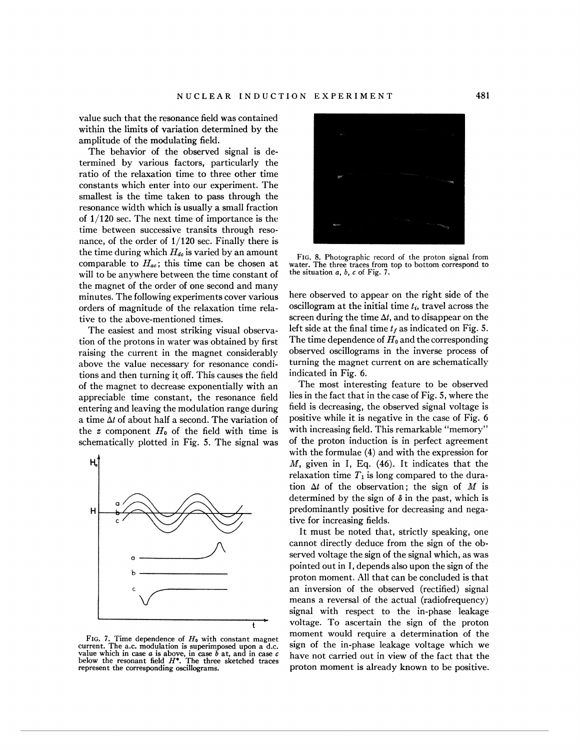value such that the resonance field was contained within the limits of variation determined by the amplitude of the modulating field.

The behavior of the observed signal is determined by various factors, particularly the ratio of the relaxation time to three other time constants which enter into our experiment. The smallest is the time taken to pass through the resonance width which is usually a small fraction of **1/120** sec. The next time of importance is the time between successive transits through resonance, of the order of 1/120 sec. Finally there is the time during which  $H_{dc}$  is varied by an amount comparable to  $H_{ac}$ ; this time can be chosen at will to be anywhere between the time constant of the magnet of the order of one second and many minutes. The following experiments cover various orders of magnitude of the relaxation time relative to the above-mentioned times.

The easiest and most striking visual observation of the protons in water was obtained by first raising the current in the magnet considerably above the value necessary for resonance conditions and then turning it off. This causes the field of the magnet to decrease exponentially with an appreciable time constant, the resonance field entering and leaving the modulation range during a time **At** of about half a second. The variation of the  $z$  component  $H_0$  of the field with time is schematically plotted in Fig. 5. The signal was



FIG. 7. Time dependence of  $H_0$  with constant magnet current. The a.c. modulation is superimposed upon a d.c. value which in case a is above, in case b at, and in case c below the resonant field  $H^*$ . The three sketched represent the corresponding oscillograms.



FIG. 8. Photographic record of the proton signal from water. The three traces from top to bottom correspond to the situation a, b, **c** of Fig. 7.

here observed to appear on the right side of the oscillogram at the initial time  $t_i$ , travel across the screen during the time  $\Delta t$ , and to disappear on the left side at the final time  $t_f$  as indicated on Fig. 5. The time dependence of *Ho* and the corresponding observed oscillograms in the inverse process of turning the magnet current on are schematically indicated in Fig. **6.** 

The most interesting feature to be observed lies in the fact that in the case of Fig. 5, where the field is decreasing, the observed signal voltage is positive while it is negative in the case of Fig. **6**  with increasing field. This remarkable "memory" of the proton induction is in perfect agreement with the formulae (4) and with the expression for M, given in I, Eq. **(46).** It indicates that the relaxation time  $T_1$  is long compared to the duration  $\Delta t$  of the observation; the sign of M is determined by the sign of **6** in the past, which is predominantly positive for decreasing and negative for increasing fields.

It must be noted that, strictly speaking, one cannot directly deduce from the sign of the observed voltage the sign of the signal which, as was pointed out in I, depends also upon the sign of the proton moment. All that can be concluded is that an inversion of the observed (rectified) signal means a reversal of the actual (radiofrequency) signal with respect to the in-phase leakage voltage. To ascertain the sign of the proton moment would require a determination of the sign of the in-phase leakage voltage which we have not carried out in view of the fact that the proton moment is already known to be positive.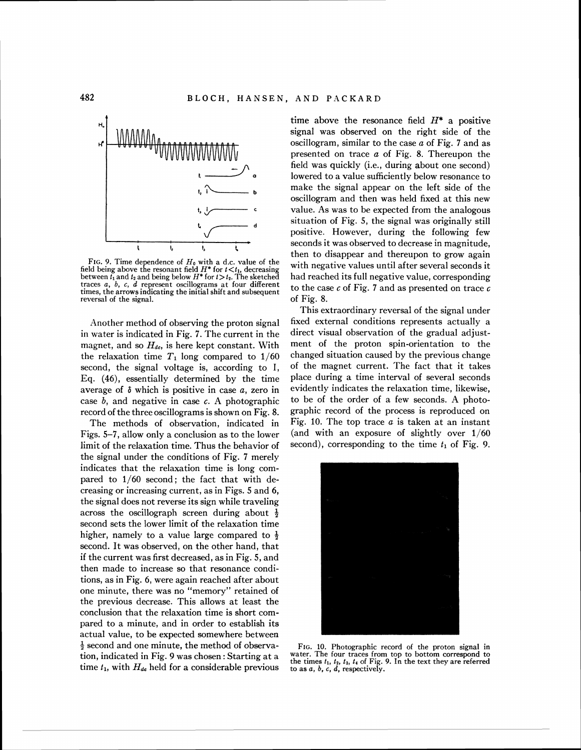

FIG. 9. Time dependence of  $H_0$  with a d.c. value of the field being above the resonant field  $H^*$  for  $t > t_1$ , decreasing between  $t_1$  and  $t_2$  and being below  $H^*$  for  $t > t_2$ . The sketched traces a, 6, **c,** d represent oscillograms at four different times, the arrows indicating the initial shift and subsequent reversal of the signal.

Another method of observing the proton signal in water is indicated in Fig. 7. The current in the magnet, and so  $H_{dc}$ , is here kept constant. With the relaxation time  $T_1$  long compared to  $1/60$ second, the signal voltage is, according to I, Eq. (46), essentially determined by the time average of *6* which is positive in case a, zero in case  $b$ , and negative in case  $c$ . A photographic record of the three oscillograms is shown on Fig. 8.

The methods of observation, indicated in Figs. 5-7, allow only a conclusion as to the lower limit of the relaxation time. Thus the behavior of the signal under the conditions of Fig. 7 merely indicates that the relaxation time is long compared to 1/60 second; the fact that with decreasing or increasing current, as in Figs. 5 and 6, the signal does not reverse its sign while traveling across the oscillograph screen during about  $\frac{1}{2}$ second sets the lower limit of the relaxation time higher, namely to a value large compared to  $\frac{1}{2}$ second. It was observed, on the other hand, that if the current was first decreased, as in Fig. 5, and then made to increase so that resonance conditions, as in Fig. 6, were again reached after about one minute, there was no "memory" retained of the previous decrease. This allows at least the conclusion that the relaxation time is short compared to a minute, and in order to establish its actual value, to be expected somewhere between  $\frac{1}{2}$  second and one minute, the method of observa-<br>tion, indicated in Fig. 9 was chosen: Starting at a water. The four traces from top to bottom correspond to time  $t_1$ , with  $H_{de}$  held for a considerable previous to as  $a, b, c, d$ , respectively.

time above the resonance field  $H^*$  a positive signal was observed on the right side of the oscillogram, similar to the case  $a$  of Fig. 7 and as presented on trace a of Fig. 8. Thereupon the field was quickly (i.e., during about one second) lowered to a value sufficiently below resonance to make the signal appear on the left side of the oscillogram and then was held fixed at this new value. As was to be expected from the analogous situation of Fig. 5, the signal was originally still positive. However, during the following few seconds it was observed to decrease in magnitude, then to disappear and thereupon to grow again with negative values until after several seconds it had reached its full negative value, corresponding to the case  $c$  of Fig. 7 and as presented on trace  $c$ of Fig. 8.

This extraordinary reversal of the signal under fixed external conditions represents actually a direct visual observation of the gradual adjustment of the proton spin-orientation to the changed situation caused by the previous change of the magnet current. The fact that it takes place during a time interval of several seconds evidently indicates the relaxation time, likewise, to be of the order of a few seconds. A photographic record of the process is reproduced on Fig. 10. The top trace  $a$  is taken at an instant (and with an exposure of slightly over 1/60 second), corresponding to the time  $t_1$  of Fig. 9.



tion, indicated in Fig. 9 was chosen: Starting at a water. The four traces from top to bottom correspond to the times  $t_1$ ,  $t_2$ ,  $t_3$ ,  $t_4$ , of Fig. 9. In the text they are referred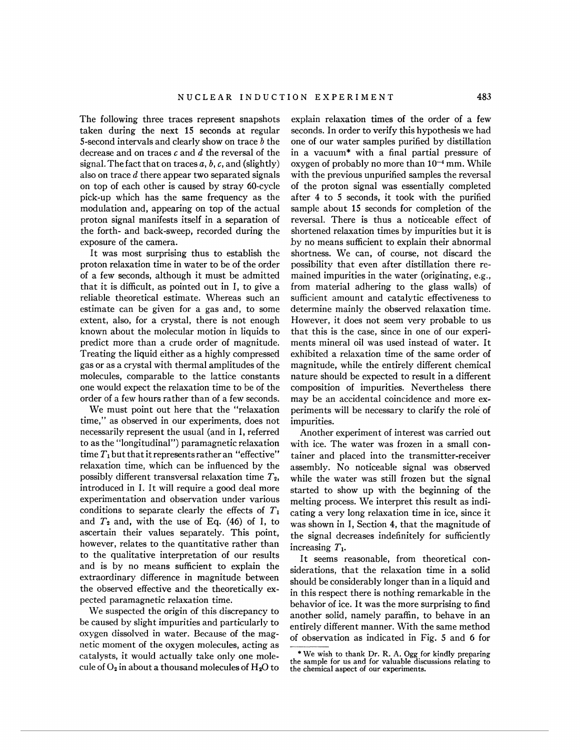The following three traces represent snapshots taken during the next 15 seconds at regular 5-second intervals and clearly show on trace  $b$  the decrease and on traces **c** and d the reversal of the signal. The fact that on traces a, b, *c,* and (slightly) also on trace d there appear two separated signals on top of each other is caused by stray 60-cycle pick-up which has the same frequency as the modulation and, appearing on top of the actual proton signal manifests itself in a separation of the forth- and back-sweep, recorded during the exposure of the camera.

It was most surprising thus to establish the proton relaxation time in water to be of the order of a few seconds, although it must be admitted that it is difficult, as pointed out in I, to give a reliable theoretical estimate. Whereas such an estimate can be given for a gas and, to some extent, also, for a crystal, there is not enough known about the molecular motion in liquids to predict more than a crude order of magnitude. Treating the liquid either as a highly compressed gas or as a crystal with thermal amplitudes of the molecules, comparable to the lattice constants one would expect the relaxation time to be of the order of a few hours rather than of a few seconds.

We must point out here that the "relaxation time," as observed in our experiments, does not necessarily represent the usual (and in I, referred to as the "longitudinal") paramagnetic relaxation time  $T_1$  but that it represents rather an "effective" relaxation time, which can be influenced by the possibly different transversal relaxation time  $T_2$ , introduced in I. It will require a good deal more experimentation and observation under various conditions to separate clearly the effects of  $T_1$ and  $T_2$  and, with the use of Eq.  $(46)$  of I, to ascertain their values separately. This point, however, relates to the quantitative rather than to the qualitative interpretation of our results and is by no means sufficient to explain the extraordinary difference in magnitude between the observed effective and the theoretically expected paramagnetic relaxation time.

We suspected the origin of this discrepancy to be caused by slight impurities and particularly to oxygen dissolved in water. Because of the magnetic moment of the oxygen molecules, acting as catalysts, it would actually take only one molecule of  $O_2$  in about a thousand molecules of  $H_2O$  to explain relaxation times of the order of a few seconds. In order to verify this hypothesis we had one of our water samples purified by distillation in a vacuum\* with a final partial pressure of oxygen of probably no more than  $10^{-4}$  mm. While with the previous unpurified samples the reversal of the proton signal was essentially completed after 4 to 5 seconds, it took with the purified sample about 15 seconds for completion of the reversal. There is thus a noticeable effect of shortened relaxation times by impurities but it is by no means sufficient to explain their abnormal shortness. We can, of course, not discard the possibility that even after distillation there remained impurities in the water (originating, e.g., from material adhering to the glass walls) of sufficient amount and catalytic effectiveness to determine mainly the observed relaxation time. However, it does not seem very probable to us that this is the case, since in one of our experiments mineral oil was used instead of water. It exhibited a relaxation time of the same order of magnitude, while the entirely different chemical nature should be expected to result in a different composition of impurities. Nevertheless there may be an accidental coincidence and more experiments will be necessary to clarify the role of impurities.

Another experiment of interest was carried out with ice. The water was frozen in a small container and placed into the transmitter-receiver assembly. No noticeable signal was observed while the water was still frozen but the signal started to show up with the beginning of the melting process. We interpret this result as indicating a very long relaxation time in ice, since it was shown in I, Section 4, that the magnitude of the signal decreases indefinitely for sufficiently increasing  $T_1$ .

It seems reasonable, from theoretical considerations, that the relaxation time in a solid should be considerably longer than in a liquid and in this respect there is nothing remarkable in the behavior of ice. It was the more surprising to find another solid, namely paraffin, to behave in an entirely different manner. With the same method of observation as indicated in Fig. 5 and *6* for

<sup>\*</sup>We wish to thank Dr. R. **A.** Ogg for kindly preparing the sample for us and for valuable discussions relating to the chemical aspect of our experiments.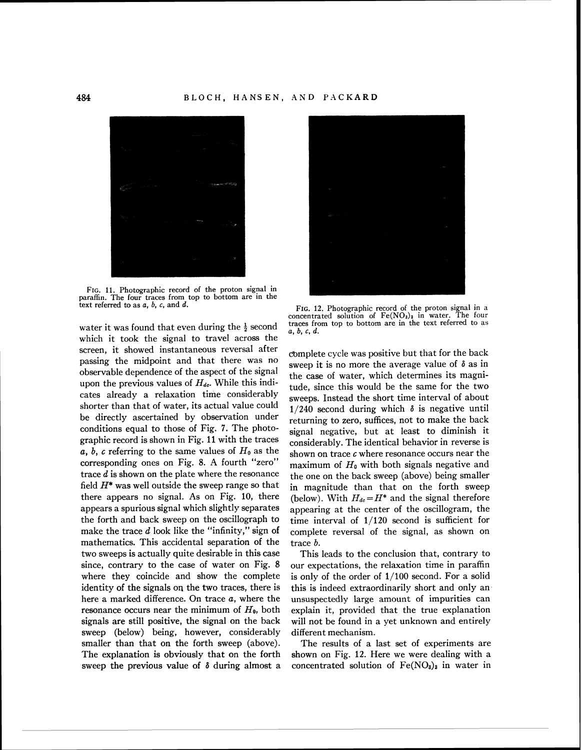

FIG. 11. Photographic record of the proton signal in paraffin. The four traces from top to bottom are in the text referred to as  $a, b, c$ , and  $d.$ 

water it was found that even during the  $\frac{1}{2}$  second which it took the signal to travel across the screen, it showed instantaneous reversal after passing the midpoint and that there was no observable dependence of the aspect of the signal upon the previous values of  $H_{dc}$ . While this indicates already a relaxation time considerably shorter than that of water, its actual value could be directly ascertained by observation under conditions equal to those of Fig. **7.** The photographic record is shown in Fig. 11 with the traces a, b, c referring to the same values of  $H_0$  as the corresponding ones on Fig. 8. A fourth "zero" trace d is shown on the plate where the resonance field  $H^*$  was well outside the sweep range so that there appears no signal. As on Fig. 10, there appears a spurious signal which slightly separates the forth and back sweep on the oscillograph to make the trace  $d$  look like the "infinity," sign of mathematics. This accidental separation of the two sweeps is actually quite desirable in this case since, contrary to the case of water on Fig. 8 where they coincide and show the complete identity of the signals on the two traces, there is here a marked difference. On trace a, where the resonance occurs near the minimum of *Ho,* both signals are still positive, the signal on the back sweep (below) being, however, considerably smaller than that on the forth sweep (above). The explanation is obviously that on the forth sweep the previous value of **6** during almost a



FIG. 12. Photographic record of the proton signal in a concentrated solution of  $Fe(NO<sub>s</sub>)<sub>3</sub>$  in water. The four traces from top to bottom are in the text referred to as  $a, b, c, d$ .

complete cycle was positive but that for the back sweep it is no more the average value of **6** as in the case of water, which determines its magnitude, since this would be the same for the two sweeps. Instead the short time interval of about  $1/240$  second during which  $\delta$  is negative until returning to zero, suffices, not to make the back signal negative, but at least to diminish it considerably. The identical behavior in reverse is shown on trace  $c$  where resonance occurs near the maximum of *Ho* with both signals negative and the one on the back sweep (above) being smaller in magnitude than that on the forth sweep (below). With  $H_{de} = H^*$  and the signal therefore appearing at the center of the oscillogram, the time interval of 1/120 second is sufficient for complete reversal of the signal, as shown on trace b.

This leads to the conclusion that, contrary to our expectations, the relaxation time in paraffin is only of the order of 1/100 second. For a solid this is indeed extraordinarily short and only anunsuspectedly large amount of impurities can explain it, provided that the true explanation will not be found in a yet unknown and entirely different mechanism.

The results of a last set of experiments are shown on Fig. 12. Here we were dealing with a concentrated solution of  $Fe(NO<sub>8</sub>)<sub>3</sub>$  in water in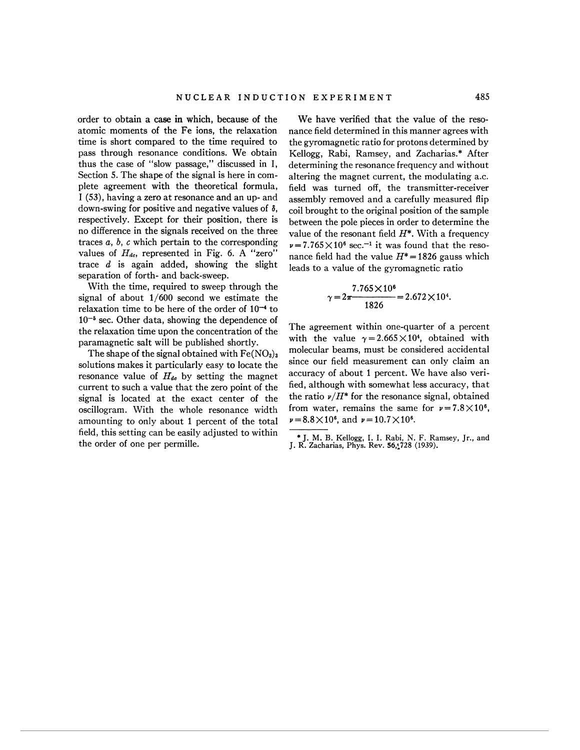order to obtain a case in which, because of the atomic moments of the Fe ions, the relaxation time is short compared to the time required to pass through resonance conditions. We obtain thus the case of "slow passage," discussed in I, Section 5. The shape of the signal is here in complete agreement with the theoretical formula, I **(53),** having a zero at resonance and an up- and down-swing for positive and negative values of **6,**  respectively. Except for their position, there is no difference in the signals received on the three traces a, b, *c* which pertain to the corresponding values of  $H_{dc}$ , represented in Fig. 6. A "zero" trace  $d$  is again added, showing the slight separation of forth- and back-sweep.

With the time, required to sweep through the signal of about *1/600* second we estimate the relaxation time to be here of the order of  $10^{-4}$  to  $10^{-5}$  sec. Other data, showing the dependence of the relaxation time upon the concentration of the paramagnetic salt will be published shortly.

The shape of the signal obtained with  $Fe(NO<sub>3</sub>)<sub>3</sub>$ solutions makes it particularly easy to locate the resonance value of  $H_{de}$  by setting the magnet current to such a value that the zero point of the signal is located at the exact center of the oscillogram. With the whole resonance width amounting to only about *1* percent of the total field, this setting can be easily adjusted to within the order of one per permille.

We have verified that the value of the resonance field determined in this manner agrees with the gyromagnetic ratio for protons determined by Kellogg, Rabi, Ramsey, and Zacharias.\* After determining the resonance frequency and without altering the magnet current, the modulating a.c. field was turned off, the transmitter-receiver assembly removed and a carefully measured flip coil brought to the original position of the sample between the pole pieces in order to determine the value of the resonant field  $H^*$ . With a frequency  $v = 7.765 \times 10^6$  sec.<sup>-1</sup> it was found that the resonance field had the value  $H^* = 1826$  gauss which leads to a value of the gyromagnetic ratio

$$
\gamma = 2\pi \frac{7.765 \times 10^6}{1826} = 2.672 \times 10^4
$$

The agreement within one-quarter of a percent with the value  $\gamma = 2.665 \times 10^4$ , obtained with molecular beams, must be considered accidental since our field measurement can only claim an accuracy of about *1* percent. We have also verified, although with somewhat less accuracy, that the ratio  $\nu/H^*$  for the resonance signal, obtained from water, remains the same for  $\nu = 7.8 \times 10^6$ ,  $\nu = 8.8 \times 10^6$ , and  $\nu = 10.7 \times 10^6$ .

<sup>\*</sup> J. M. B. Kellogg, I. I. Rabi, N. F. Kamsey, Jr., and J. R. Zacharias, Phys. Rev. **56,!728** (1939).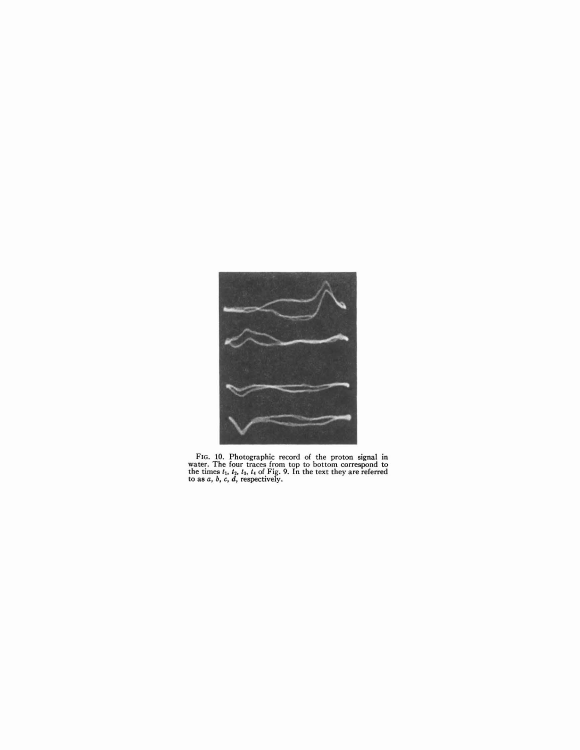

FIG. 10. Photographic record of the proton signal in water. The four traces from top to bottom correspond to the times  $t_1$ ,  $t_2$ ,  $t_3$ ,  $t_4$  of Fig. 9. In the text they are referred to as  $a$ ,  $b$ ,  $c$ ,  $d$ , respecti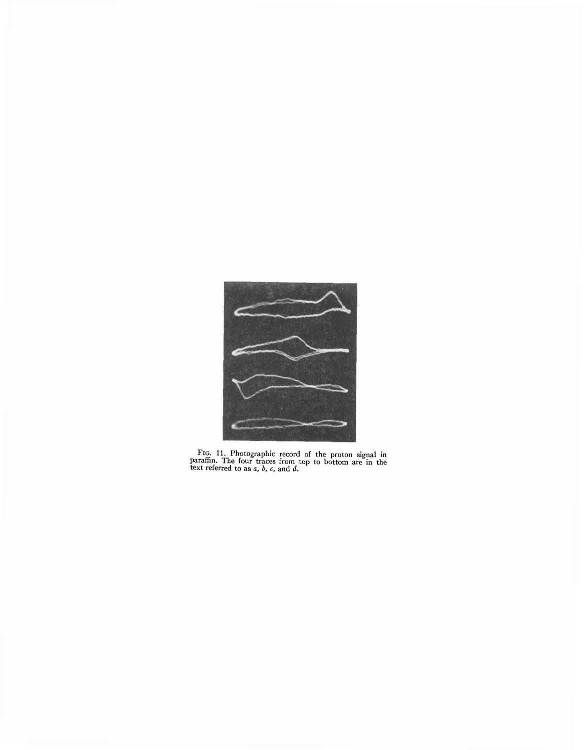

**FIG. 11. Photographic record of the proton signal in paraffin. The four traces from top to bottom are in the text referred to as o,** *b,* **6, and d.**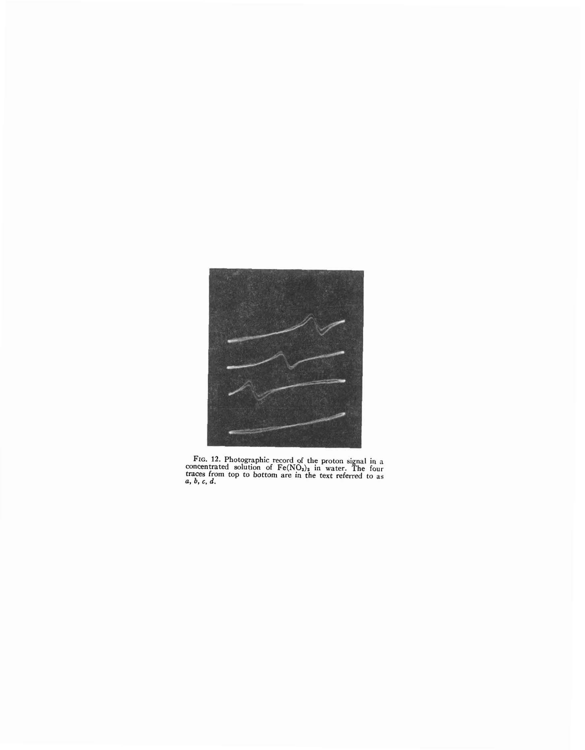

FIG. 12. Photographic record of the proton signal in a oncentrated solution of Fe(NO<sub>3</sub>)<sub>3</sub> in water. The four **traces from top to bottom are in the text referred to as** *b***,** *c***,** *d***.**